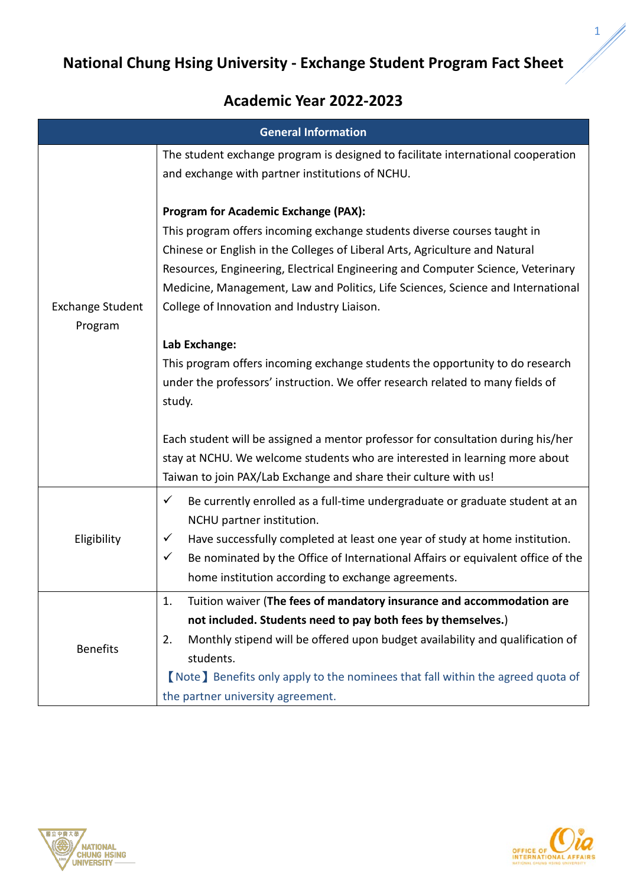## **National Chung Hsing University - Exchange Student Program Fact Sheet**

## **Academic Year 2022-2023**

| <b>General Information</b>         |                                                                                                                                                                                                                                                                                                                                                                                                                                               |  |  |  |
|------------------------------------|-----------------------------------------------------------------------------------------------------------------------------------------------------------------------------------------------------------------------------------------------------------------------------------------------------------------------------------------------------------------------------------------------------------------------------------------------|--|--|--|
|                                    | The student exchange program is designed to facilitate international cooperation<br>and exchange with partner institutions of NCHU.                                                                                                                                                                                                                                                                                                           |  |  |  |
| <b>Exchange Student</b><br>Program | <b>Program for Academic Exchange (PAX):</b><br>This program offers incoming exchange students diverse courses taught in<br>Chinese or English in the Colleges of Liberal Arts, Agriculture and Natural<br>Resources, Engineering, Electrical Engineering and Computer Science, Veterinary<br>Medicine, Management, Law and Politics, Life Sciences, Science and International<br>College of Innovation and Industry Liaison.<br>Lab Exchange: |  |  |  |
|                                    | This program offers incoming exchange students the opportunity to do research<br>under the professors' instruction. We offer research related to many fields of<br>study.<br>Each student will be assigned a mentor professor for consultation during his/her<br>stay at NCHU. We welcome students who are interested in learning more about<br>Taiwan to join PAX/Lab Exchange and share their culture with us!                              |  |  |  |
| Eligibility                        | $\checkmark$<br>Be currently enrolled as a full-time undergraduate or graduate student at an<br>NCHU partner institution.<br>Have successfully completed at least one year of study at home institution.<br>✓<br>$\checkmark$<br>Be nominated by the Office of International Affairs or equivalent office of the<br>home institution according to exchange agreements.                                                                        |  |  |  |
| <b>Benefits</b>                    | Tuition waiver (The fees of mandatory insurance and accommodation are<br>1.<br>not included. Students need to pay both fees by themselves.)<br>Monthly stipend will be offered upon budget availability and qualification of<br>2.<br>students.<br>(Note) Benefits only apply to the nominees that fall within the agreed quota of<br>the partner university agreement.                                                                       |  |  |  |





1

W)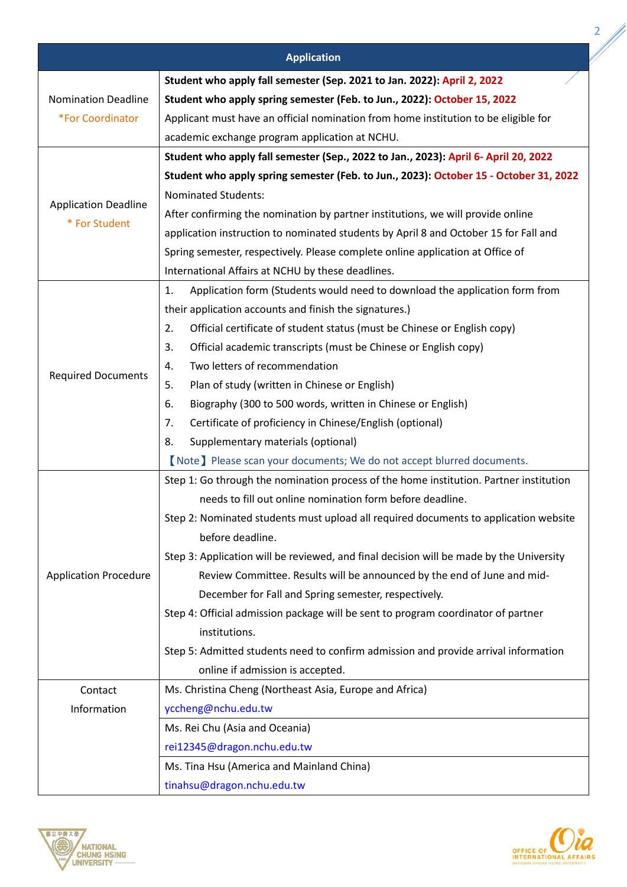|                              | <b>Application</b>                                                                      |  |  |
|------------------------------|-----------------------------------------------------------------------------------------|--|--|
|                              |                                                                                         |  |  |
|                              | Student who apply fall semester (Sep. 2021 to Jan. 2022): April 2, 2022                 |  |  |
| <b>Nomination Deadline</b>   | Student who apply spring semester (Feb. to Jun., 2022): October 15, 2022                |  |  |
| *For Coordinator             | Applicant must have an official nomination from home institution to be eligible for     |  |  |
|                              | academic exchange program application at NCHU.                                          |  |  |
|                              | Student who apply fall semester (Sep., 2022 to Jan., 2023): April 6- April 20, 2022     |  |  |
|                              | Student who apply spring semester (Feb. to Jun., 2023): October 15 - October 31, 2022   |  |  |
| <b>Application Deadline</b>  | <b>Nominated Students:</b>                                                              |  |  |
| * For Student                | After confirming the nomination by partner institutions, we will provide online         |  |  |
|                              | application instruction to nominated students by April 8 and October 15 for Fall and    |  |  |
|                              | Spring semester, respectively. Please complete online application at Office of          |  |  |
|                              | International Affairs at NCHU by these deadlines.                                       |  |  |
|                              | Application form (Students would need to download the application form from<br>1.       |  |  |
|                              | their application accounts and finish the signatures.)                                  |  |  |
|                              | Official certificate of student status (must be Chinese or English copy)<br>2.          |  |  |
|                              | 3.<br>Official academic transcripts (must be Chinese or English copy)                   |  |  |
|                              | Two letters of recommendation<br>4.                                                     |  |  |
| <b>Required Documents</b>    | Plan of study (written in Chinese or English)<br>5.                                     |  |  |
|                              | Biography (300 to 500 words, written in Chinese or English)<br>6.                       |  |  |
|                              | 7.<br>Certificate of proficiency in Chinese/English (optional)                          |  |  |
|                              | Supplementary materials (optional)<br>8.                                                |  |  |
|                              | [Note] Please scan your documents; We do not accept blurred documents.                  |  |  |
|                              | Step 1: Go through the nomination process of the home institution. Partner institution  |  |  |
|                              | needs to fill out online nomination form before deadline.                               |  |  |
|                              | Step 2: Nominated students must upload all required documents to application website    |  |  |
|                              | before deadline.                                                                        |  |  |
| <b>Application Procedure</b> | Step 3: Application will be reviewed, and final decision will be made by the University |  |  |
|                              | Review Committee. Results will be announced by the end of June and mid-                 |  |  |
|                              | December for Fall and Spring semester, respectively.                                    |  |  |
|                              | Step 4: Official admission package will be sent to program coordinator of partner       |  |  |
|                              | institutions.                                                                           |  |  |
|                              | Step 5: Admitted students need to confirm admission and provide arrival information     |  |  |
|                              | online if admission is accepted.                                                        |  |  |
| Contact                      | Ms. Christina Cheng (Northeast Asia, Europe and Africa)                                 |  |  |
| Information                  | yccheng@nchu.edu.tw                                                                     |  |  |
|                              | Ms. Rei Chu (Asia and Oceania)                                                          |  |  |
|                              | rei12345@dragon.nchu.edu.tw                                                             |  |  |
|                              | Ms. Tina Hsu (America and Mainland China)                                               |  |  |
|                              | tinahsu@dragon.nchu.edu.tw                                                              |  |  |
|                              |                                                                                         |  |  |



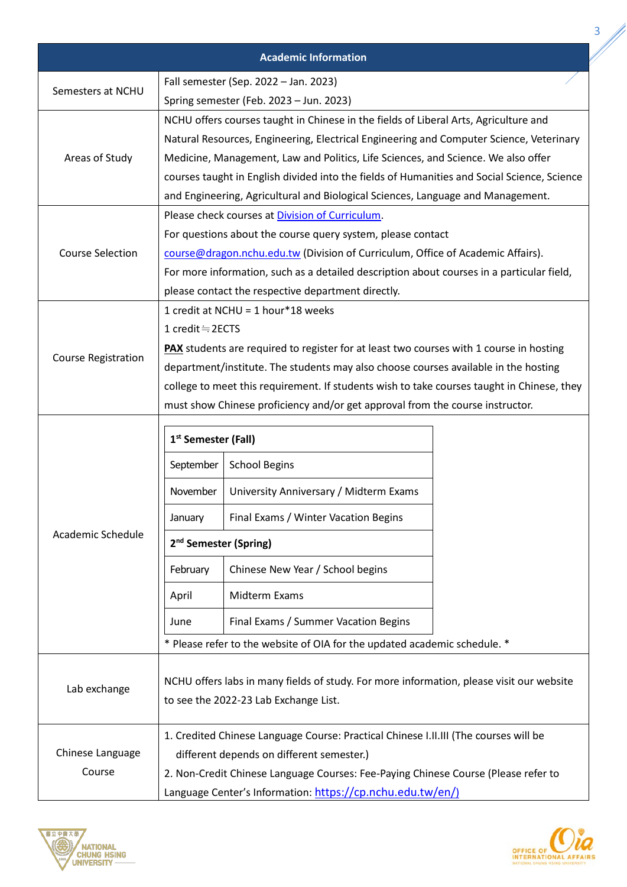|                            |                                                                                                                                                                              | <b>Academic Information</b>                                                   |  |  |  |
|----------------------------|------------------------------------------------------------------------------------------------------------------------------------------------------------------------------|-------------------------------------------------------------------------------|--|--|--|
| Semesters at NCHU          |                                                                                                                                                                              | Fall semester (Sep. 2022 - Jan. 2023)                                         |  |  |  |
|                            |                                                                                                                                                                              | Spring semester (Feb. 2023 - Jun. 2023)                                       |  |  |  |
|                            | NCHU offers courses taught in Chinese in the fields of Liberal Arts, Agriculture and                                                                                         |                                                                               |  |  |  |
|                            | Natural Resources, Engineering, Electrical Engineering and Computer Science, Veterinary                                                                                      |                                                                               |  |  |  |
| Areas of Study             | Medicine, Management, Law and Politics, Life Sciences, and Science. We also offer                                                                                            |                                                                               |  |  |  |
|                            | courses taught in English divided into the fields of Humanities and Social Science, Science                                                                                  |                                                                               |  |  |  |
|                            | and Engineering, Agricultural and Biological Sciences, Language and Management.                                                                                              |                                                                               |  |  |  |
|                            | Please check courses at Division of Curriculum.                                                                                                                              |                                                                               |  |  |  |
| <b>Course Selection</b>    | For questions about the course query system, please contact                                                                                                                  |                                                                               |  |  |  |
|                            | course@dragon.nchu.edu.tw (Division of Curriculum, Office of Academic Affairs).<br>For more information, such as a detailed description about courses in a particular field, |                                                                               |  |  |  |
|                            |                                                                                                                                                                              | please contact the respective department directly.                            |  |  |  |
|                            | 1 credit at NCHU = 1 hour*18 weeks                                                                                                                                           |                                                                               |  |  |  |
|                            |                                                                                                                                                                              | 1 credit≒2ECTS                                                                |  |  |  |
|                            | <b>PAX</b> students are required to register for at least two courses with 1 course in hosting                                                                               |                                                                               |  |  |  |
| <b>Course Registration</b> | department/institute. The students may also choose courses available in the hosting                                                                                          |                                                                               |  |  |  |
|                            | college to meet this requirement. If students wish to take courses taught in Chinese, they                                                                                   |                                                                               |  |  |  |
|                            |                                                                                                                                                                              | must show Chinese proficiency and/or get approval from the course instructor. |  |  |  |
|                            | 1 <sup>st</sup> Semester (Fall)                                                                                                                                              |                                                                               |  |  |  |
|                            | September                                                                                                                                                                    | <b>School Begins</b>                                                          |  |  |  |
|                            |                                                                                                                                                                              | November   University Anniversary / Midterm Exams                             |  |  |  |
|                            | January                                                                                                                                                                      | Final Exams / Winter Vacation Begins                                          |  |  |  |
| Academic Schedule          | 2 <sup>nd</sup> Semester (Spring)                                                                                                                                            |                                                                               |  |  |  |
|                            | February                                                                                                                                                                     | Chinese New Year / School begins                                              |  |  |  |
|                            | April                                                                                                                                                                        | Midterm Exams                                                                 |  |  |  |
|                            | June                                                                                                                                                                         | Final Exams / Summer Vacation Begins                                          |  |  |  |
|                            |                                                                                                                                                                              | * Please refer to the website of OIA for the updated academic schedule. *     |  |  |  |
| Lab exchange               | NCHU offers labs in many fields of study. For more information, please visit our website<br>to see the 2022-23 Lab Exchange List.                                            |                                                                               |  |  |  |
|                            | 1. Credited Chinese Language Course: Practical Chinese I.II.III (The courses will be                                                                                         |                                                                               |  |  |  |
| Chinese Language<br>Course | different depends on different semester.)                                                                                                                                    |                                                                               |  |  |  |
|                            | 2. Non-Credit Chinese Language Courses: Fee-Paying Chinese Course (Please refer to                                                                                           |                                                                               |  |  |  |
|                            | Language Center's Information: https://cp.nchu.edu.tw/en/)                                                                                                                   |                                                                               |  |  |  |